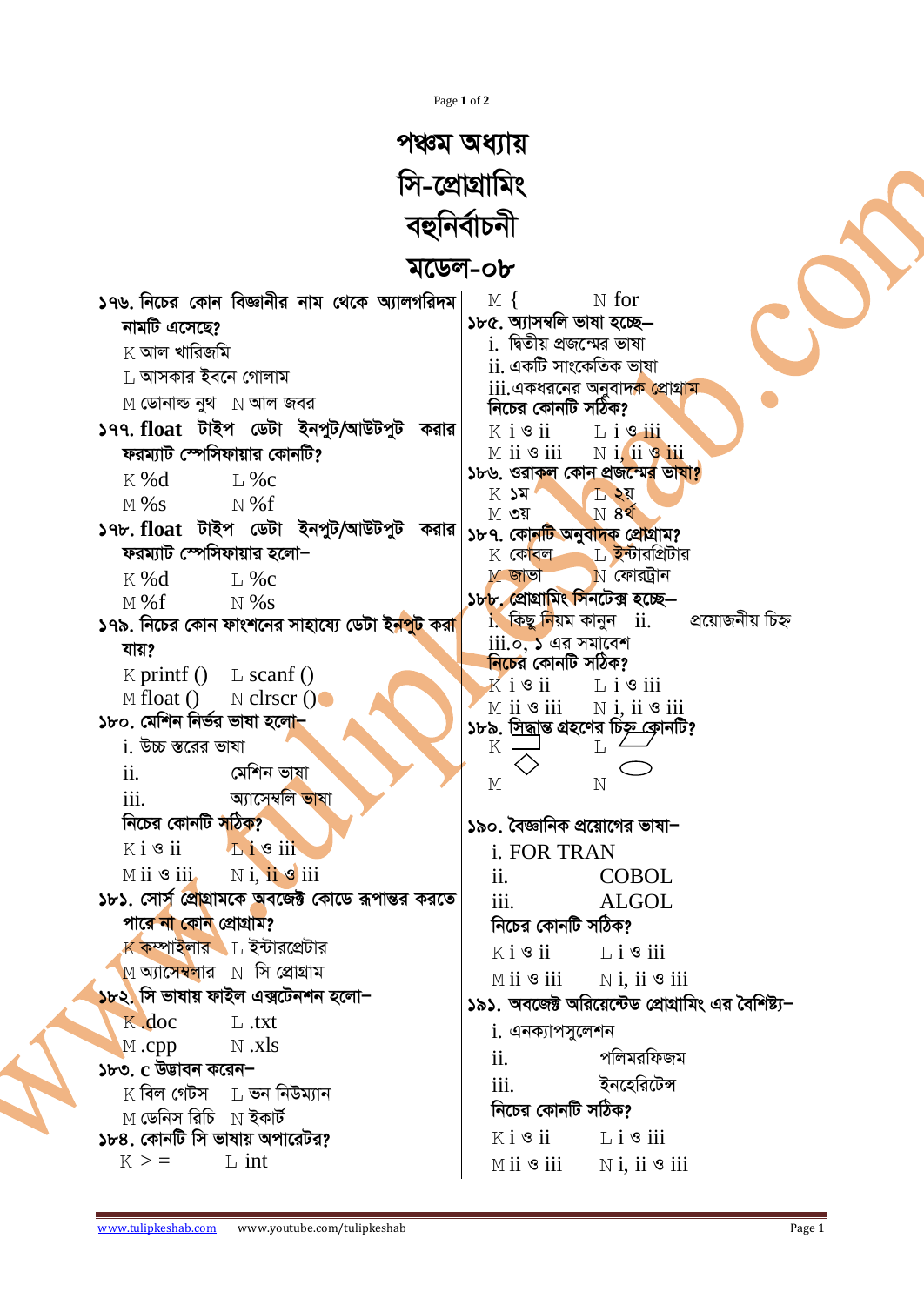Page 1 of 2

## পঞ্চম অধ্যায় সি-প্রোগ্রামিং বহুনিৰ্বাচনী

## মডেল-০৮

| মডেল-০৮                                                                                                                                                                                                       |                                                                                                                                                                                                                                            |
|---------------------------------------------------------------------------------------------------------------------------------------------------------------------------------------------------------------|--------------------------------------------------------------------------------------------------------------------------------------------------------------------------------------------------------------------------------------------|
| ১৭৬. নিচের কোন বিজ্ঞানীর নাম থেকে অ্যালগরিদম $\mid$<br>নামটি এসেছে?<br>$\boldsymbol{\mathrm{K}}$ আল খারিজমি<br>$\,$ আসকার ইবনে গোলাম<br>$M$ ডোনাল্ড নুথ $\;$ $\;$ $\rm N$ আল জবর                              | $\mathbb N$ for<br>$M \{$<br>১৮৫. অ্যাসম্বলি ভাষা হচ্ছে—<br><u>i. দ্বিতীয় প্রজম্মের ভাষা</u><br><u>ii. একটি সাংকেতিক ভাষা</u><br>iii.একধরনের অনুবাদ <mark>ক প্রোগ্রাম</mark>                                                              |
| ১৭৭. float টাইপ ডেটা ইনপুট/আউটপুট করার<br>ফরম্যাট স্পেসিফায়ার কোনটি?<br>K %d<br>$L\%c$<br>$M\%s$<br>$\leq N\%f$                                                                                              | নিচের কোনটি সঠিক?<br>$K$ i $\mathcal{S}$ ii<br>$L$ i $\mathcal{S}$ iii<br>$N$ i, ii $\mathcal{P}$ iii<br>$M$ ii $\mathcal S$ iii<br>১৮৬. ওরাকল কোন প্রজন্মের ভাষা?<br>$K$ $\lambda$ $\lambda$<br>$L$ २य<br>N 82<br>$M$ ৩য়                 |
| ১৭৮. float টাইপ ডেটা ইনপুট/আউটপুট করার<br>ফরম্যাট স্পেসিফায়ার হলো−<br>$L$ %c<br>$K\%d$<br>$M\%f$<br>$N\%s$<br>১৭৯. নিচের কোন ফাংশনের সাহায্যে ডেটা ই <mark>নপুট</mark> করা                                   | ১৮৭. কোনটি অনুবাদক প্রোগ্রাম?<br>$K$ কোবল $L$ ইন্টারপ্রিটার<br>$N$ ফোরট্রান<br>$M$ জাভা<br>১৮৮, প্রোগ্রামিং সিনটেক্স হচ্ছে—<br>প্রয়োজনীয় চিহ্ন<br>$i$ . কিছু নিয়ম কানুন $ii$ .<br>$iii.$ ০, ১ এর সমাবেশ                                 |
| যায়?<br>$K$ printf $()$ L scanf $()$<br>M float () N clrscr $()$<br>১৮০. মেশিন নিৰ্ভর ভাষা হলো <del>-</del><br>$i$ . উচ্চ স্তরের ভাষা<br>ii.<br>মেশিন ভাষা                                                   | <mark>নিচে</mark> র কোনটি সঠিক?<br>$K$ i $\mathcal S$ ii $\qquad \qquad \mathbb L$ i $\mathcal S$ iii<br>$\mathbb N$ i, ii $\mathscr G$ iii<br>$M$ ii $\mathcal S$ iii<br>১৮৯ <u>. সিদ্ধা</u> ন্ত গ্রহণের চিষ্ <u>ণু ক</u> োনটি?<br>K<br>L |
| iii.<br>অ্যাসেম্বলি ভাষা<br>নিচের কোনটি <mark>স</mark> ঠিক?<br>$Ki$ s ii<br>$\mathbf{L}$ i $\mathbf{S}$ iii<br>$M$ ii $\mathcal{S}$ iii. $N$ i, ii $\mathcal{S}$ iii                                          | $\mathbb M$<br>N<br>১৯০. বৈজ্ঞানিক প্রয়োগের ভাষা−<br><i>i. FOR TRAN</i><br>ii.<br><b>COBOL</b>                                                                                                                                            |
| ১৮১. সোর্স প্রোগ্রামকে অবজেক্ট কোডে রূপান্তর করতে<br>পারে না কোন প্রোগ্রাম?<br>$\mathbb K$ কম্পাইলার $\mathbb L$ ইন্টারপ্রেটার<br>$\,$ M অ্যাসেম্বলার $\,$ সি প্রোগ্রাম<br>১৮২. সি ভাষায় ফাইল এক্সটেনশন হলো− | iii.<br><b>ALGOL</b><br>নিচের কোনটি সঠিক?<br>$K i$ <b>s</b> ii $L i$ <b>s</b> iii<br>$M$ ii $\bullet$ iii $N$ i, ii $\bullet$ iii<br>১৯১. অবজেক্ট অরিয়েন্টেড প্রোগ্রামিং এর বৈশিষ্ট্য–                                                    |
| $K$ .doc<br>$\perp$ .txt<br>$N$ .xls<br>$M$ .cpp<br>১৮৩. c উডাবন করেন−<br>$\rm K$ বিল গেটস $\rm L$ ভন নিউম্যান<br>$M$ ডেনিস রিচি $N$ ইকার্ট<br>১৮৪. কোনটি সি ভাষায় অপারেটর?                                  | $i$ . এনক্যাপসুলেশন<br>পলিমরফিজম<br>$\overline{\mathbf{11}}$ .<br>ইনহেরিটেন্স<br>111.<br>নিচের কোনটি সঠিক?<br>$K i$ <b>s</b> ii $L i$ <b>s</b> iii                                                                                         |
| $\mathbb{L}$ int<br>$K$ > $=$                                                                                                                                                                                 | $M$ ii $\mathcal S$ iii<br>$N$ i, ii $\circ$ iii                                                                                                                                                                                           |